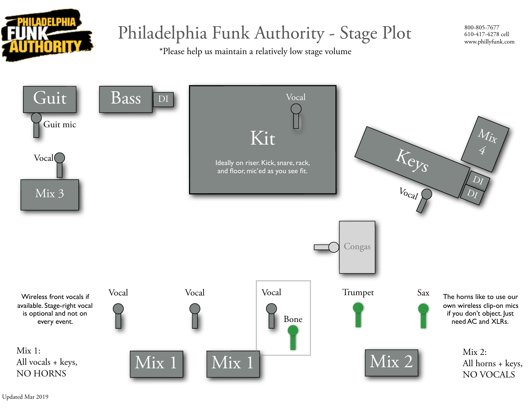

## Philadelphia Funk Authority - Stage Plot

\*Please help us maintain a relatively low stage volume

800-805-7677 610-417-4278 cell www.phillyfunk.com